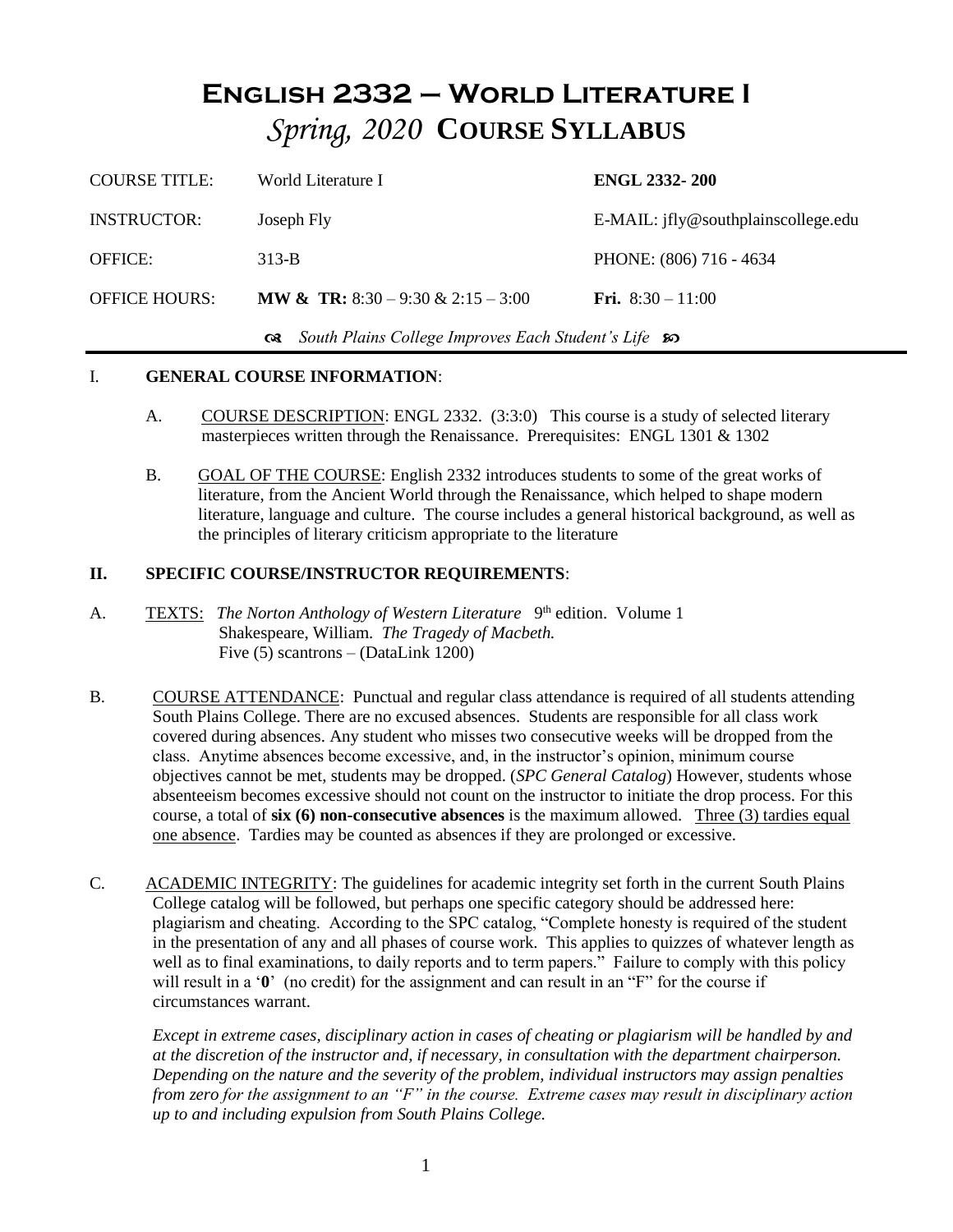### **English 2332 – World Literature I** *Spring, 2020* **COURSE SYLLABUS**

| <b>COURSE TITLE:</b> | World Literature I                                       | <b>ENGL 2332-200</b>                         |  |
|----------------------|----------------------------------------------------------|----------------------------------------------|--|
| <b>INSTRUCTOR:</b>   | Joseph Fly                                               | $E\text{-}MAIL:$ ifly@southplainscollege.edu |  |
| <b>OFFICE:</b>       | $313-B$                                                  | PHONE: (806) 716 - 4634                      |  |
| <b>OFFICE HOURS:</b> | <b>MW &amp; TR:</b> 8:30 – 9:30 & 2:15 – 3:00            | <b>Fri.</b> $8:30 - 11:00$                   |  |
|                      | Get South Plains College Improves Each Student's Life so |                                              |  |

#### I. **GENERAL COURSE INFORMATION**:

- A. COURSE DESCRIPTION: ENGL 2332. (3:3:0) This course is a study of selected literary masterpieces written through the Renaissance. Prerequisites: ENGL 1301 & 1302
- B. GOAL OF THE COURSE: English 2332 introduces students to some of the great works of literature, from the Ancient World through the Renaissance, which helped to shape modern literature, language and culture. The course includes a general historical background, as well as the principles of literary criticism appropriate to the literature

#### **II. SPECIFIC COURSE/INSTRUCTOR REQUIREMENTS**:

- A. TEXTS: The Norton Anthology of Western Literature 9<sup>th</sup> edition. Volume 1 Shakespeare, William. *The Tragedy of Macbeth.* Five (5) scantrons – (DataLink 1200)
- B. COURSE ATTENDANCE: Punctual and regular class attendance is required of all students attending South Plains College. There are no excused absences. Students are responsible for all class work covered during absences. Any student who misses two consecutive weeks will be dropped from the class. Anytime absences become excessive, and, in the instructor's opinion, minimum course objectives cannot be met, students may be dropped. (*SPC General Catalog*) However, students whose absenteeism becomes excessive should not count on the instructor to initiate the drop process. For this course, a total of **six (6) non-consecutive absences** is the maximum allowed. Three (3) tardies equal one absence. Tardies may be counted as absences if they are prolonged or excessive.
- C. ACADEMIC INTEGRITY: The guidelines for academic integrity set forth in the current South Plains College catalog will be followed, but perhaps one specific category should be addressed here: plagiarism and cheating. According to the SPC catalog, "Complete honesty is required of the student in the presentation of any and all phases of course work. This applies to quizzes of whatever length as well as to final examinations, to daily reports and to term papers." Failure to comply with this policy will result in a '**0**' (no credit) for the assignment and can result in an "F" for the course if circumstances warrant.

*Except in extreme cases, disciplinary action in cases of cheating or plagiarism will be handled by and at the discretion of the instructor and, if necessary, in consultation with the department chairperson. Depending on the nature and the severity of the problem, individual instructors may assign penalties from zero for the assignment to an "F" in the course. Extreme cases may result in disciplinary action up to and including expulsion from South Plains College.*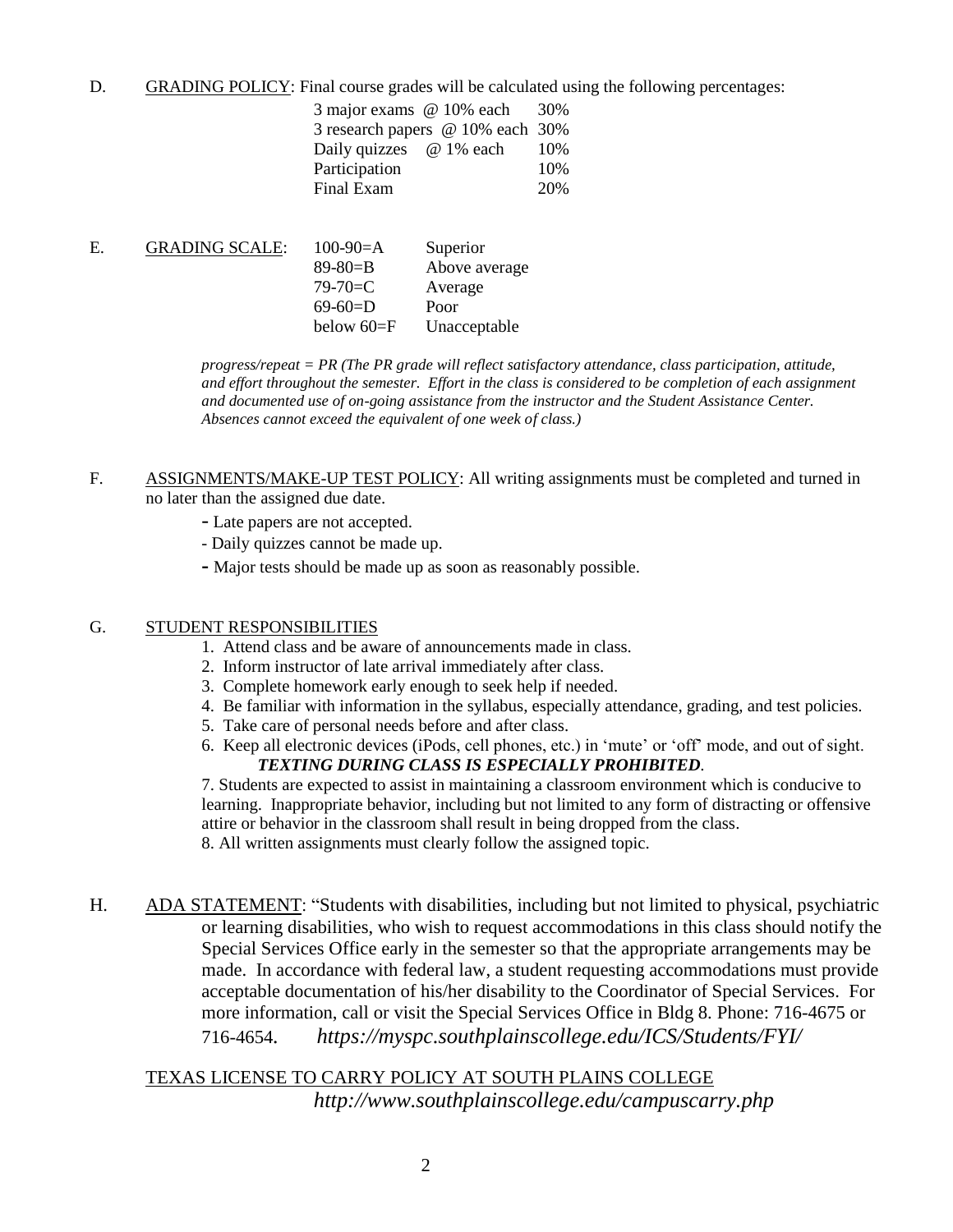D. GRADING POLICY: Final course grades will be calculated using the following percentages:

| 3 major exams @ 10% each         | 30\% |
|----------------------------------|------|
| 3 research papers @ 10% each 30% |      |
| Daily quizzes @ 1% each          | 10\% |
| Participation                    | 10%  |
| Final Exam                       | 20%  |

| <b>GRADING SCALE:</b> | $100-90=A$     | Superior      |
|-----------------------|----------------|---------------|
|                       | $89 - 80 = B$  | Above average |
|                       | $79 - 70 = C$  | Average       |
|                       | $69-60=$ D     | Poor          |
|                       | below $60 = F$ | Unacceptable  |
|                       |                |               |

*progress/repeat = PR (The PR grade will reflect satisfactory attendance, class participation, attitude, and effort throughout the semester. Effort in the class is considered to be completion of each assignment and documented use of on-going assistance from the instructor and the Student Assistance Center. Absences cannot exceed the equivalent of one week of class.)*

- F. ASSIGNMENTS/MAKE-UP TEST POLICY: All writing assignments must be completed and turned in no later than the assigned due date.
	- Late papers are not accepted.
	- Daily quizzes cannot be made up.
	- **-** Major tests should be made up as soon as reasonably possible.

#### G. STUDENT RESPONSIBILITIES

- 1. Attend class and be aware of announcements made in class.
- 2. Inform instructor of late arrival immediately after class.
- 3. Complete homework early enough to seek help if needed.
- 4. Be familiar with information in the syllabus, especially attendance, grading, and test policies.
- 5. Take care of personal needs before and after class.
- 6. Keep all electronic devices (iPods, cell phones, etc.) in 'mute' or 'off' mode, and out of sight. *TEXTING DURING CLASS IS ESPECIALLY PROHIBITED.*

7. Students are expected to assist in maintaining a classroom environment which is conducive to learning. Inappropriate behavior, including but not limited to any form of distracting or offensive attire or behavior in the classroom shall result in being dropped from the class.

8. All written assignments must clearly follow the assigned topic.

H. ADA STATEMENT: "Students with disabilities, including but not limited to physical, psychiatric or learning disabilities, who wish to request accommodations in this class should notify the Special Services Office early in the semester so that the appropriate arrangements may be made. In accordance with federal law, a student requesting accommodations must provide acceptable documentation of his/her disability to the Coordinator of Special Services. For more information, call or visit the Special Services Office in Bldg 8. Phone: 716-4675 or 716-4654*. https://myspc.southplainscollege.edu/ICS/Students/FYI/*

TEXAS LICENSE TO CARRY POLICY AT SOUTH PLAINS COLLEGE *http://www.southplainscollege.edu/campuscarry.php*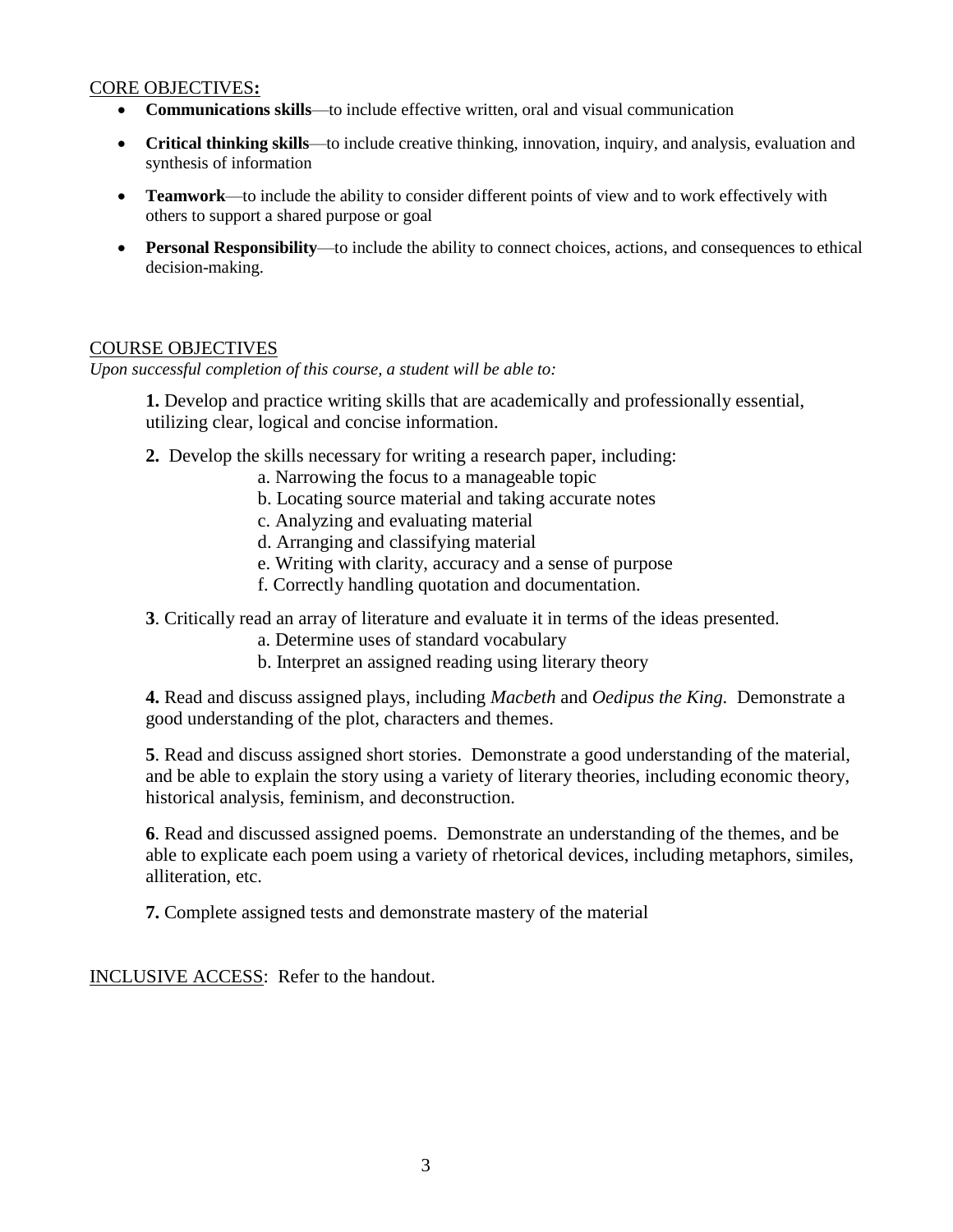#### CORE OBJECTIVES**:**

- **Communications skills**—to include effective written, oral and visual communication
- **Critical thinking skills**—to include creative thinking, innovation, inquiry, and analysis, evaluation and synthesis of information
- **Teamwork**—to include the ability to consider different points of view and to work effectively with others to support a shared purpose or goal
- **Personal Responsibility**—to include the ability to connect choices, actions, and consequences to ethical decision-making.

#### COURSE OBJECTIVES

*Upon successful completion of this course, a student will be able to:*

**1.** Develop and practice writing skills that are academically and professionally essential, utilizing clear, logical and concise information.

- **2.** Develop the skills necessary for writing a research paper, including:
	- a. Narrowing the focus to a manageable topic
	- b. Locating source material and taking accurate notes
	- c. Analyzing and evaluating material
	- d. Arranging and classifying material
	- e. Writing with clarity, accuracy and a sense of purpose
	- f. Correctly handling quotation and documentation.

**3**. Critically read an array of literature and evaluate it in terms of the ideas presented.

- a. Determine uses of standard vocabulary
- b. Interpret an assigned reading using literary theory

**4.** Read and discuss assigned plays, including *Macbeth* and *Oedipus the King.* Demonstrate a good understanding of the plot, characters and themes.

**5**. Read and discuss assigned short stories. Demonstrate a good understanding of the material, and be able to explain the story using a variety of literary theories, including economic theory, historical analysis, feminism, and deconstruction.

**6**. Read and discussed assigned poems. Demonstrate an understanding of the themes, and be able to explicate each poem using a variety of rhetorical devices, including metaphors, similes, alliteration, etc.

**7.** Complete assigned tests and demonstrate mastery of the material

INCLUSIVE ACCESS: Refer to the handout.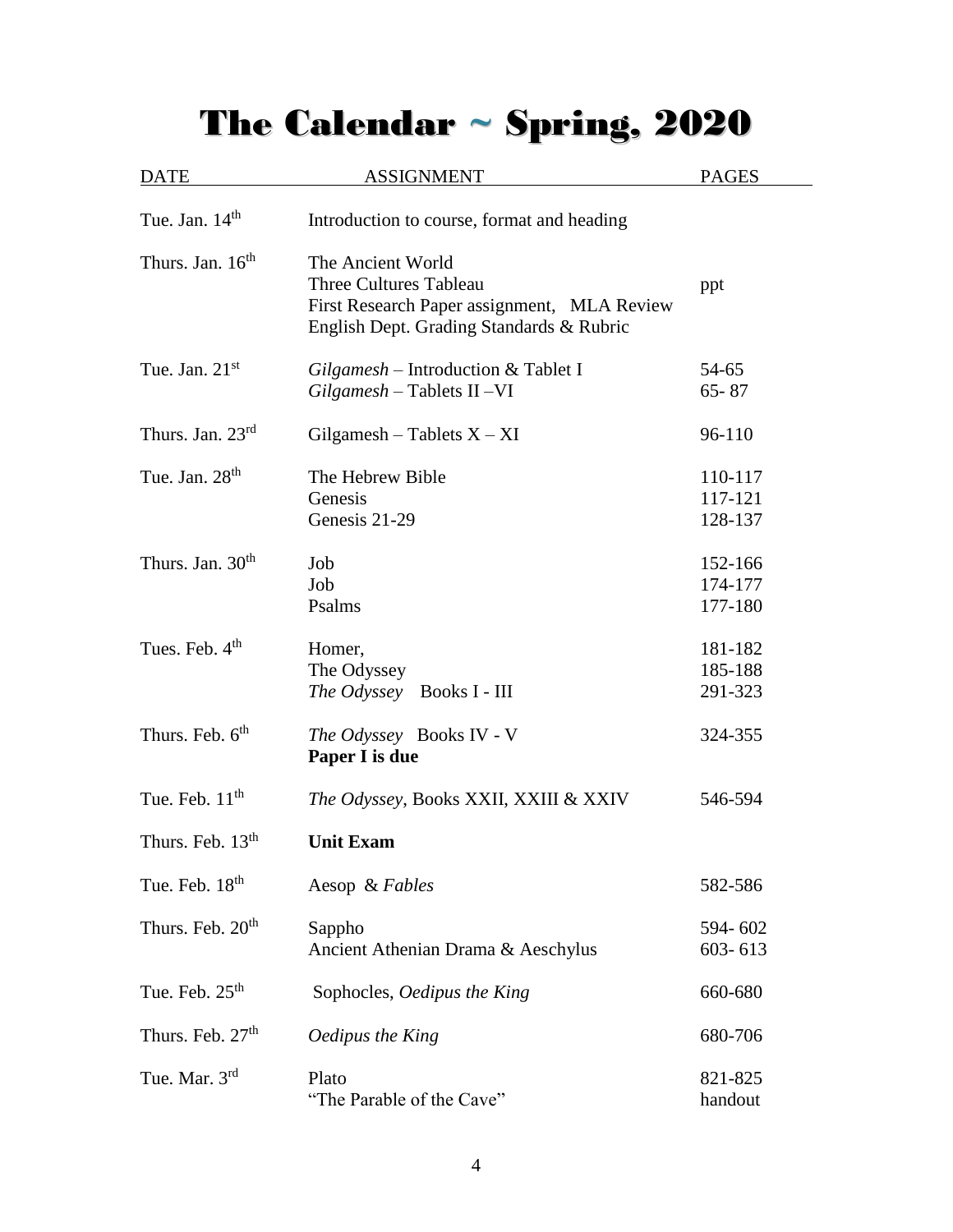# The Calendar ~ Spring, 2020

| <b>DATE</b>                  | <b>ASSIGNMENT</b>                                                                                                                             | <b>PAGES</b>                  |  |
|------------------------------|-----------------------------------------------------------------------------------------------------------------------------------------------|-------------------------------|--|
| Tue. Jan. 14 <sup>th</sup>   | Introduction to course, format and heading                                                                                                    |                               |  |
| Thurs. Jan. 16 <sup>th</sup> | The Ancient World<br><b>Three Cultures Tableau</b><br>First Research Paper assignment, MLA Review<br>English Dept. Grading Standards & Rubric | ppt                           |  |
| Tue. Jan. $21st$             | Gilgamesh - Introduction & Tablet I<br>$Gilgamesh$ – Tablets II – VI                                                                          | 54-65<br>$65 - 87$            |  |
| Thurs. Jan. 23rd             | Gilgamesh – Tablets $X - XI$                                                                                                                  | 96-110                        |  |
| Tue. Jan. 28 <sup>th</sup>   | The Hebrew Bible<br>Genesis<br>Genesis 21-29                                                                                                  | 110-117<br>117-121<br>128-137 |  |
| Thurs. Jan. 30 <sup>th</sup> | Job<br>Job<br>Psalms                                                                                                                          | 152-166<br>174-177<br>177-180 |  |
| Tues. Feb. 4 <sup>th</sup>   | Homer,<br>The Odyssey<br>The Odyssey Books I - III                                                                                            | 181-182<br>185-188<br>291-323 |  |
| Thurs. Feb. 6 <sup>th</sup>  | The Odyssey Books IV - V<br>Paper I is due                                                                                                    | 324-355                       |  |
| Tue. Feb. $11th$             | The Odyssey, Books XXII, XXIII & XXIV                                                                                                         | 546-594                       |  |
| Thurs. Feb. 13 <sup>th</sup> | <b>Unit Exam</b>                                                                                                                              |                               |  |
| Tue. Feb. 18 <sup>th</sup>   | Aesop & Fables                                                                                                                                | 582-586                       |  |
| Thurs. Feb. 20 <sup>th</sup> | Sappho<br>Ancient Athenian Drama & Aeschylus                                                                                                  | 594-602<br>603-613            |  |
| Tue. Feb. $25th$             | Sophocles, Oedipus the King                                                                                                                   | 660-680                       |  |
| Thurs. Feb. 27 <sup>th</sup> | Oedipus the King                                                                                                                              | 680-706                       |  |
| Tue. Mar. 3rd                | Plato<br>"The Parable of the Cave"                                                                                                            | 821-825<br>handout            |  |